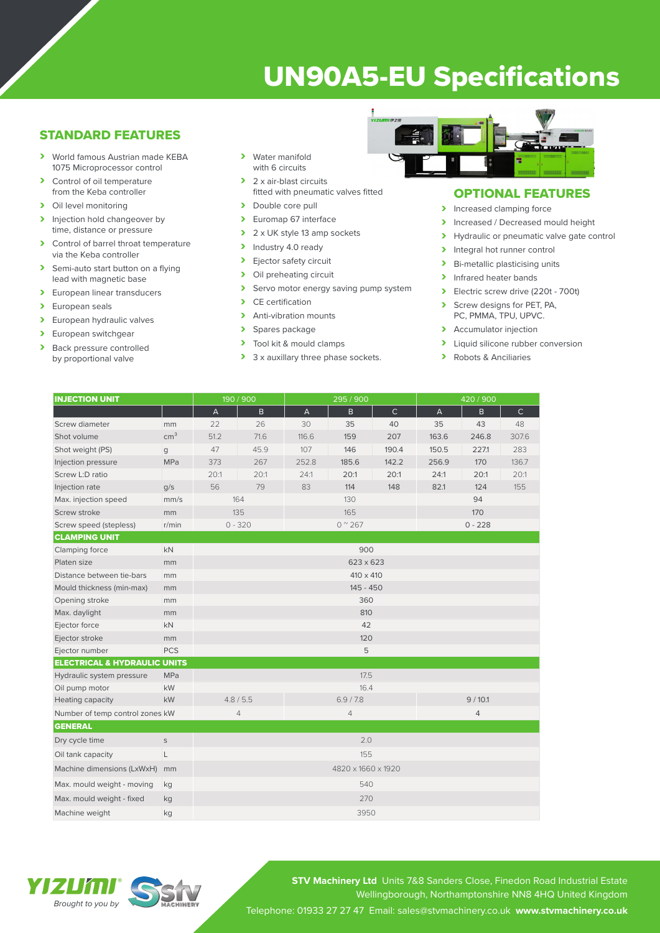# UN90A5-EU Specifications

## STANDARD FEATURES

- › World famous Austrian made KEBA 1075 Microprocessor control
- > Control of oil temperature from the Keba controller
- > Oil level monitoring
- > Injection hold changeover by time, distance or pressure
- > Control of barrel throat temperature via the Keba controller
- > Semi-auto start button on a flying lead with magnetic base
- > European linear transducers
- > European seals<br>> European hydra
- European hydraulic valves
- > European switchgear<br>
> Back pressure control
- Back pressure controlled by proportional valve
- › Water manifold with 6 circuits
- > 2 x air-blast circuits fitted with pneumatic valves fitted
- > Double core pull
- > Euromap 67 interface
- $\geq 2 \times UK$  style 13 amp sockets<br>  $\geq 1$ ndustry 4.0 ready
- Industry 4.0 ready
- > Ejector safety circuit<br>> Oil preheating circuit
- Oil preheating circuit
- > Servo motor energy saving pump system<br>
> CE certification
- CE certification
- > Anti-vibration mounts
- > Spares package
- > Tool kit & mould clamps
- > 3 x auxillary three phase sockets.



## OPTIONAL FEATURES

- > Increased clamping force
- Increased / Decreased mould height<br>
Invealing the proportional valve date contract of
- Hydraulic or pneumatic valve gate control
- > Integral hot runner control
- > Bi-metallic plasticising units
- > Infrared heater bands
- › Electric screw drive (220t 700t)
- Screw designs for PET, PA, PC, PMMA, TPU, UPVC.
- > Accumulator injection
- > Liquid silicone rubber conversion
- › Robots & Anciliaries

| <b>INJECTION UNIT</b>                   |                 | 190 / 900          |              | 295 / 900                 |              |              | 420 / 900                 |              |              |
|-----------------------------------------|-----------------|--------------------|--------------|---------------------------|--------------|--------------|---------------------------|--------------|--------------|
|                                         |                 | $\mathsf A$        | $\mathsf{B}$ | $\boldsymbol{\mathsf{A}}$ | $\mathsf{B}$ | $\mathsf{C}$ | $\boldsymbol{\mathsf{A}}$ | $\mathsf{B}$ | $\mathsf{C}$ |
| Screw diameter                          | mm              | 22                 | 26           | 30                        | 35           | 40           | 35                        | 43           | 48           |
| Shot volume                             | cm <sup>3</sup> | 51.2               | 71.6         | 116.6                     | 159          | 207          | 163.6                     | 246.8        | 307.6        |
| Shot weight (PS)                        | g               | 47                 | 45.9         | 107                       | 146          | 190.4        | 150.5                     | 227.1        | 283          |
| Injection pressure                      | MPa             | 373                | 267          | 252.8                     | 185.6        | 142.2        | 256.9                     | 170          | 136.7        |
| Screw L:D ratio                         |                 | 20:1               | 20:1         | 24:1                      | 20:1         | 20:1         | 24:1                      | 20:1         | 20:1         |
| Injection rate                          | q/s             | 56                 | 79           | 83                        | 114          | 148          | 82.1                      | 124          | 155          |
| Max. injection speed                    | mm/s            | 164                |              | 130                       |              |              | 94                        |              |              |
| Screw stroke                            | mm              | 135                |              | 165                       |              |              | 170                       |              |              |
| Screw speed (stepless)                  | r/min           | $0 - 320$          |              | $0^{\circ}267$            |              |              | $0 - 228$                 |              |              |
| <b>CLAMPING UNIT</b>                    |                 |                    |              |                           |              |              |                           |              |              |
| Clamping force                          | <b>kN</b>       | 900                |              |                           |              |              |                           |              |              |
| Platen size                             | mm              | 623 x 623          |              |                           |              |              |                           |              |              |
| Distance between tie-bars               | mm              | 410 x 410          |              |                           |              |              |                           |              |              |
| Mould thickness (min-max)               | mm              | 145 - 450          |              |                           |              |              |                           |              |              |
| Opening stroke                          | mm              | 360                |              |                           |              |              |                           |              |              |
| Max. daylight                           | mm              | 810                |              |                           |              |              |                           |              |              |
| Ejector force                           | <b>kN</b>       | 42                 |              |                           |              |              |                           |              |              |
| Ejector stroke                          | mm              | 120                |              |                           |              |              |                           |              |              |
| Ejector number                          | <b>PCS</b>      | 5                  |              |                           |              |              |                           |              |              |
| <b>ELECTRICAL &amp; HYDRAULIC UNITS</b> |                 |                    |              |                           |              |              |                           |              |              |
| Hydraulic system pressure               | MPa             |                    |              | 17.5                      |              |              |                           |              |              |
| Oil pump motor                          | kW              |                    |              | 16.4                      |              |              |                           |              |              |
| Heating capacity                        | kW              | 4.8 / 5.5          |              | 6.9 / 7.8                 |              |              | 9/10.1                    |              |              |
| Number of temp control zones kW         |                 | $\overline{4}$     |              | 4                         |              |              | 4                         |              |              |
| <b>GENERAL</b>                          |                 |                    |              |                           |              |              |                           |              |              |
| Dry cycle time                          | $\mathsf S$     |                    |              | 2.0                       |              |              |                           |              |              |
| Oil tank capacity                       | L               | 155                |              |                           |              |              |                           |              |              |
| Machine dimensions (LxWxH)              | mm              | 4820 x 1660 x 1920 |              |                           |              |              |                           |              |              |
| Max. mould weight - moving              | kg              | 540                |              |                           |              |              |                           |              |              |
| Max. mould weight - fixed               | kg              | 270                |              |                           |              |              |                           |              |              |
| Machine weight                          | kg              | 3950               |              |                           |              |              |                           |              |              |

YIZU'UI